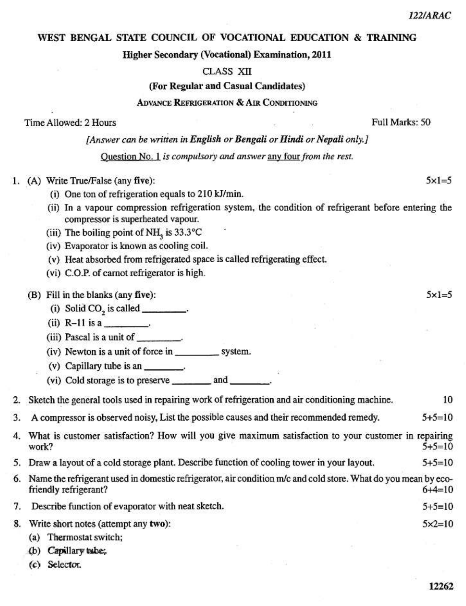12262

### WEST BENGAL STATE COUNCIL OF VOCATIONAL EDUCATION & TRAINING

Higher Secondary (Vocational) Examination, 2011

**CLASS XII** 

(For Regular and Casual Candidates)

### **ADVANCE REFRIGERATION & AIR CONDITIONING**

Time Allowed: 2 Hours

[Answer can be written in English or Bengali or Hindi or Nepali only.]

Ouestion No. 1 is compulsory and answer any four from the rest.

- 1. (A) Write True/False (any five):
	- (i) One ton of refrigeration equals to 210 kJ/min.
	- (ii) In a vapour compression refrigeration system, the condition of refrigerant before entering the compressor is superheated vapour.
	- (iii) The boiling point of NH<sub>2</sub> is 33.3°C
	- (iv) Evaporator is known as cooling coil.
	- (v) Heat absorbed from refrigerated space is called refrigerating effect.
	- (vi) C.O.P. of carnot refrigerator is high.

# (B) Fill in the blanks (any five):

- (i) Solid CO<sub>2</sub> is called \_\_\_\_\_\_\_\_\_.
- $(ii)$  R-11 is a
- (iii) Pascal is a unit of \_\_\_\_\_\_\_\_.
- 
- (v) Capillary tube is an \_\_\_\_\_\_\_\_.
- 

Sketch the general tools used in repairing work of refrigeration and air conditioning machine. 10  $2.$ 

3. A compressor is observed noisy, List the possible causes and their recommended remedy.  $5+5=10$ 

4. What is customer satisfaction? How will you give maximum satisfaction to your customer in repairing work?  $5+5=10$ 

- 5. Draw a layout of a cold storage plant. Describe function of cooling tower in your layout.  $5+5=10$
- 6. Name the refrigerant used in domestic refrigerator, air condition m/c and cold store. What do you mean by ecofriendly refrigerant?  $6+4=10$
- Describe function of evaporator with neat sketch. 7.  $5+5=10$
- $5 \times 2 = 10$ 8. Write short notes (attempt any two):
	- (a) Thermostat switch;
	- (b) Capillary tabe;
	- (c) Selector.

#### Full Marks: 50

 $5x1=5$ 

 $5 \times 1 = 5$